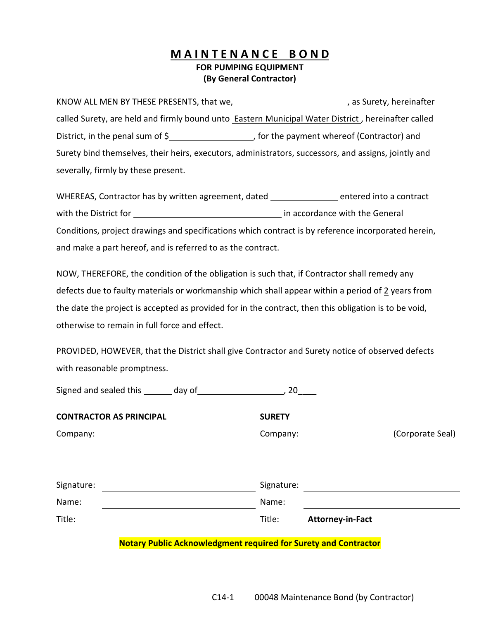## **M A I N T E N A N C E B O N D FOR PUMPING EQUIPMENT (By General Contractor)**

KNOW ALL MEN BY THESE PRESENTS, that we, \_\_\_\_\_\_\_\_\_\_\_\_\_\_\_\_\_\_\_\_\_\_\_\_\_\_\_\_\_, as Surety, hereinafter called Surety, are held and firmly bound unto **Eastern Municipal Water District**, hereinafter called District, in the penal sum of \$\_\_\_\_\_\_\_\_\_\_\_\_\_\_\_\_\_\_\_\_\_\_\_, for the payment whereof (Contractor) and Surety bind themselves, their heirs, executors, administrators, successors, and assigns, jointly and severally, firmly by these present.

WHEREAS, Contractor has by written agreement, dated entered into a contract with the District for **in accordance** with the General Conditions, project drawings and specifications which contract is by reference incorporated herein, and make a part hereof, and is referred to as the contract.

NOW, THEREFORE, the condition of the obligation is such that, if Contractor shall remedy any defects due to faulty materials or workmanship which shall appear within a period of 2 years from the date the project is accepted as provided for in the contract, then this obligation is to be void, otherwise to remain in full force and effect.

PROVIDED, HOWEVER, that the District shall give Contractor and Surety notice of observed defects with reasonable promptness.

| Signed and sealed this _______ day of | 20            |                         |
|---------------------------------------|---------------|-------------------------|
| <b>CONTRACTOR AS PRINCIPAL</b>        | <b>SURETY</b> |                         |
| Company:                              | Company:      | (Corporate Seal)        |
|                                       |               |                         |
|                                       |               |                         |
| Signature:                            | Signature:    |                         |
| Name:                                 | Name:         |                         |
| Title:                                | Title:        | <b>Attorney-in-Fact</b> |
|                                       |               |                         |

**Notary Public Acknowledgment required for Surety and Contractor**